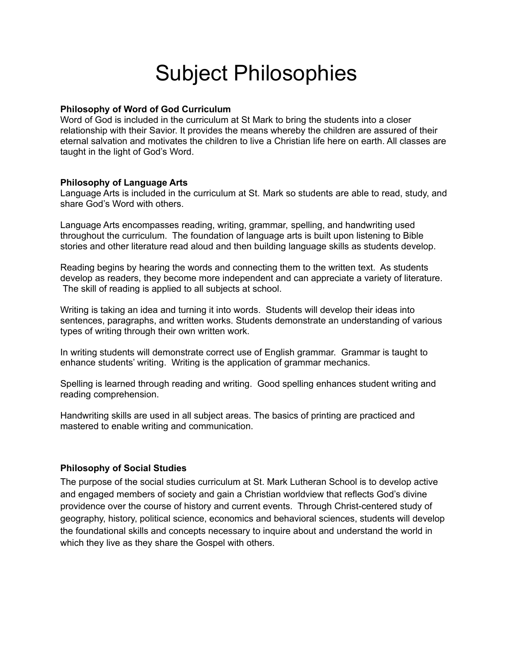# Subject Philosophies

## **Philosophy of Word of God Curriculum**

Word of God is included in the curriculum at St Mark to bring the students into a closer relationship with their Savior. It provides the means whereby the children are assured of their eternal salvation and motivates the children to live a Christian life here on earth. All classes are taught in the light of God's Word.

# **Philosophy of Language Arts**

Language Arts is included in the curriculum at St. Mark so students are able to read, study, and share God's Word with others.

Language Arts encompasses reading, writing, grammar, spelling, and handwriting used throughout the curriculum. The foundation of language arts is built upon listening to Bible stories and other literature read aloud and then building language skills as students develop.

Reading begins by hearing the words and connecting them to the written text. As students develop as readers, they become more independent and can appreciate a variety of literature. The skill of reading is applied to all subjects at school.

Writing is taking an idea and turning it into words. Students will develop their ideas into sentences, paragraphs, and written works. Students demonstrate an understanding of various types of writing through their own written work.

In writing students will demonstrate correct use of English grammar. Grammar is taught to enhance students' writing. Writing is the application of grammar mechanics.

Spelling is learned through reading and writing. Good spelling enhances student writing and reading comprehension.

Handwriting skills are used in all subject areas. The basics of printing are practiced and mastered to enable writing and communication.

# **Philosophy of Social Studies**

The purpose of the social studies curriculum at St. Mark Lutheran School is to develop active and engaged members of society and gain a Christian worldview that reflects God's divine providence over the course of history and current events. Through Christ-centered study of geography, history, political science, economics and behavioral sciences, students will develop the foundational skills and concepts necessary to inquire about and understand the world in which they live as they share the Gospel with others.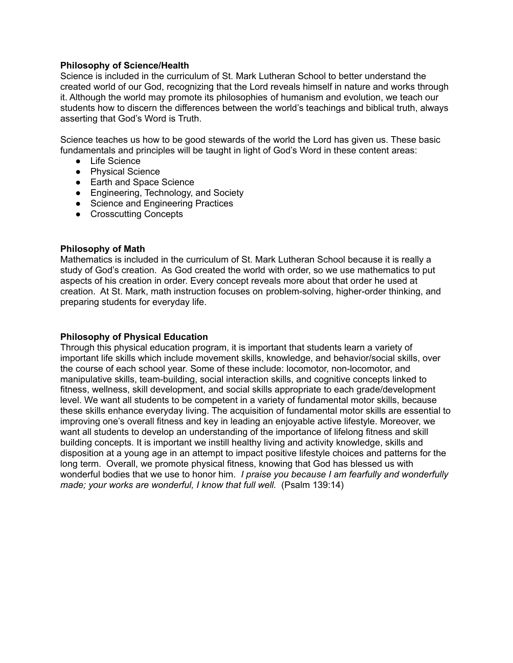# **Philosophy of Science/Health**

Science is included in the curriculum of St. Mark Lutheran School to better understand the created world of our God, recognizing that the Lord reveals himself in nature and works through it. Although the world may promote its philosophies of humanism and evolution, we teach our students how to discern the differences between the world's teachings and biblical truth, always asserting that God's Word is Truth.

Science teaches us how to be good stewards of the world the Lord has given us. These basic fundamentals and principles will be taught in light of God's Word in these content areas:

- Life Science
- Physical Science
- Earth and Space Science
- Engineering, Technology, and Society
- Science and Engineering Practices
- Crosscutting Concepts

#### **Philosophy of Math**

Mathematics is included in the curriculum of St. Mark Lutheran School because it is really a study of God's creation. As God created the world with order, so we use mathematics to put aspects of his creation in order. Every concept reveals more about that order he used at creation. At St. Mark, math instruction focuses on problem-solving, higher-order thinking, and preparing students for everyday life.

## **Philosophy of Physical Education**

Through this physical education program, it is important that students learn a variety of important life skills which include movement skills, knowledge, and behavior/social skills, over the course of each school year. Some of these include: locomotor, non-locomotor, and manipulative skills, team-building, social interaction skills, and cognitive concepts linked to fitness, wellness, skill development, and social skills appropriate to each grade/development level. We want all students to be competent in a variety of fundamental motor skills, because these skills enhance everyday living. The acquisition of fundamental motor skills are essential to improving one's overall fitness and key in leading an enjoyable active lifestyle. Moreover, we want all students to develop an understanding of the importance of lifelong fitness and skill building concepts. It is important we instill healthy living and activity knowledge, skills and disposition at a young age in an attempt to impact positive lifestyle choices and patterns for the long term. Overall, we promote physical fitness, knowing that God has blessed us with wonderful bodies that we use to honor him. *I praise you because I am fearfully and wonderfully made; your works are wonderful, I know that full well.* (Psalm 139:14)